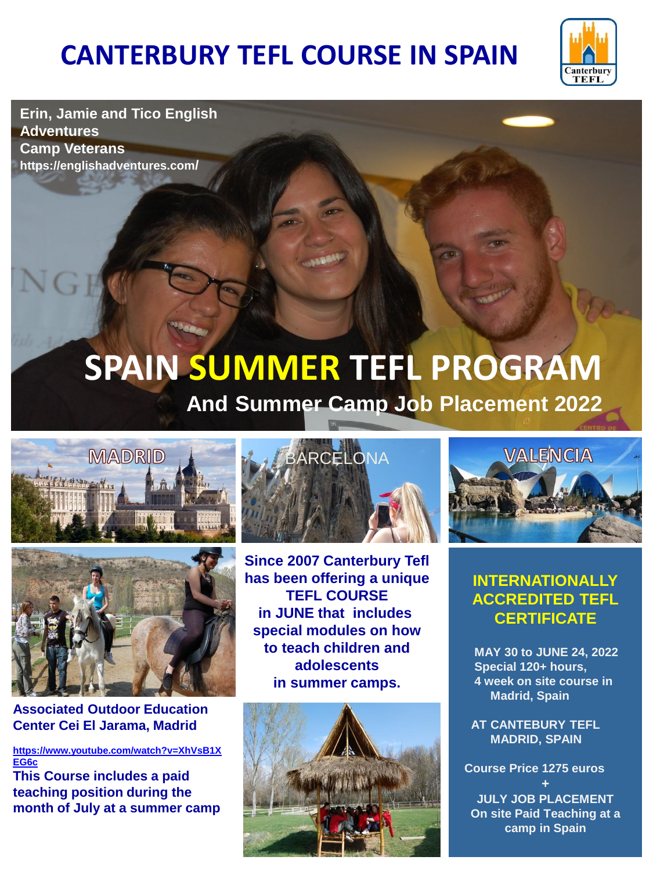# **CANTERBURY TEFL COURSE IN SPAIN**



**Erin, Jamie and Tico English Adventures Camp Veterans https://englishadventures.com/**

# **SPAIN SUMMER TEFL PROGRAM And Summer Camp Job Placement 2022**





**Associated Outdoor Education Center Cei El Jarama, Madrid**

**[https://www.youtube.com/watch?v=XhVsB1X](https://www.youtube.com/watch?v=XhVsB1XEG6c) [EG6c](https://www.youtube.com/watch?v=XhVsB1XEG6c)**

**This Course includes a paid teaching position during the month of July at a summer camp**



**Since 2007 Canterbury Tefl has been offering a unique TEFL COURSE in JUNE that includes special modules on how to teach children and adolescents in summer camps.**





### **INTERNATIONALLY ACCREDITED TEFL CERTIFICATE**

 **MAY 30 to JUNE 24, 2022 Special 120+ hours, 4 week on site course in Madrid, Spain**

 **AT CANTEBURY TEFL MADRID, SPAIN**

 **Course Price 1275 euros** 

**+ JULY JOB PLACEMENT On site Paid Teaching at a camp in Spain**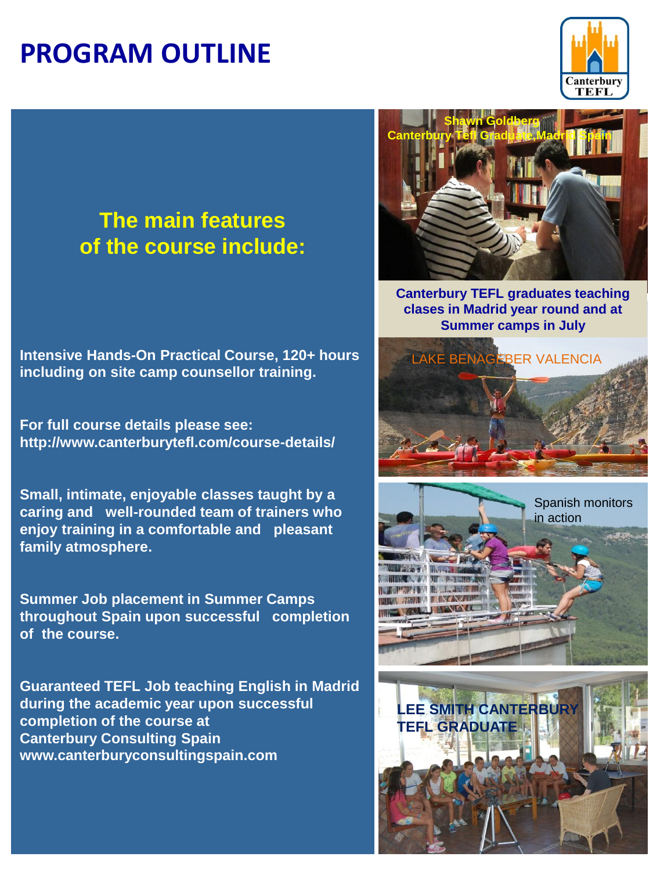### **PROGRAM OUTLINE**



### **The main features of the course include:**

**Intensive Hands-On Practical Course, 120+ hours including on site camp counsellor training.**

**For full course details please see: http://www.canterburytefl.com/course-details/**

**Small, intimate, enjoyable classes taught by a caring and well-rounded team of trainers who enjoy training in a comfortable and pleasant family atmosphere.**

**Summer Job placement in Summer Camps throughout Spain upon successful completion of the course.**

**Guaranteed TEFL Job teaching English in Madrid during the academic year upon successful completion of the course at Canterbury Consulting Spain www.canterburyconsultingspain.com**



**Canterbury TEFL graduates teaching clases in Madrid year round and at Summer camps in July**



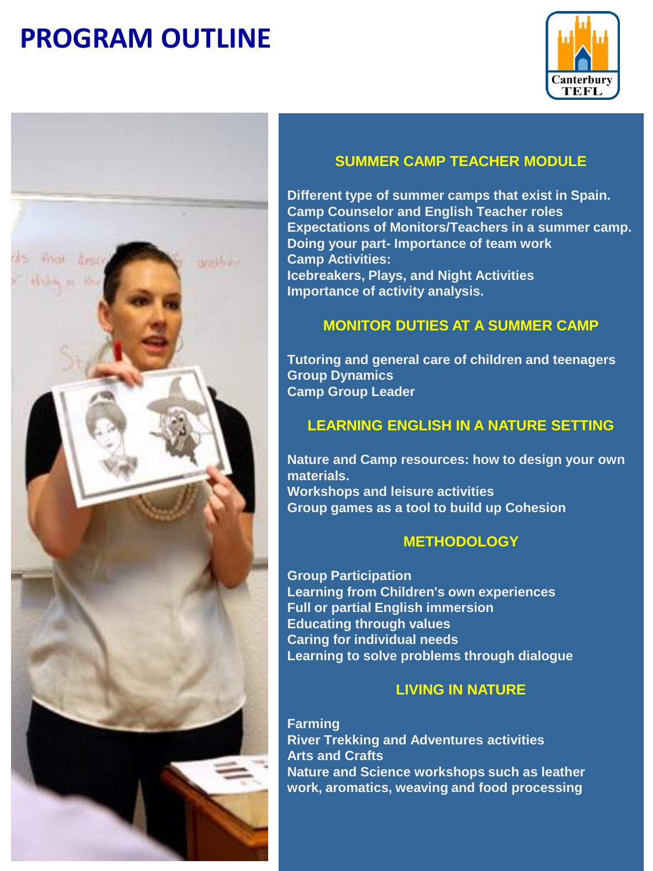# **PROGRAM OUTLINE**





#### **SUMMER CAMP TEACHER MODULE**

**Different type of summer camps that exist in Spain. Camp Counselor and English Teacher roles Expectations of Monitors/Teachers in a summer camp. Doing your part- Importance of team work Camp Activities: Icebreakers, Plays, and Night Activities Importance of activity analysis.**

#### **MONITOR DUTIES AT A SUMMER CAMP**

**Tutoring and general care of children and teenagers Group Dynamics Camp Group Leader** 

#### **LEARNING ENGLISH IN A NATURE SETTING**

**Nature and Camp resources: how to design your own materials. Workshops and leisure activities Group games as a tool to build up Cohesion** 

#### **METHODOLOGY**

**Group Participation Learning from Children's own experiences Full or partial English immersion Educating through values Caring for individual needs Learning to solve problems through dialogue**

#### **LIVING IN NATURE**

**Farming River Trekking and Adventures activities Arts and Crafts Nature and Science workshops such as leather work, aromatics, weaving and food processing**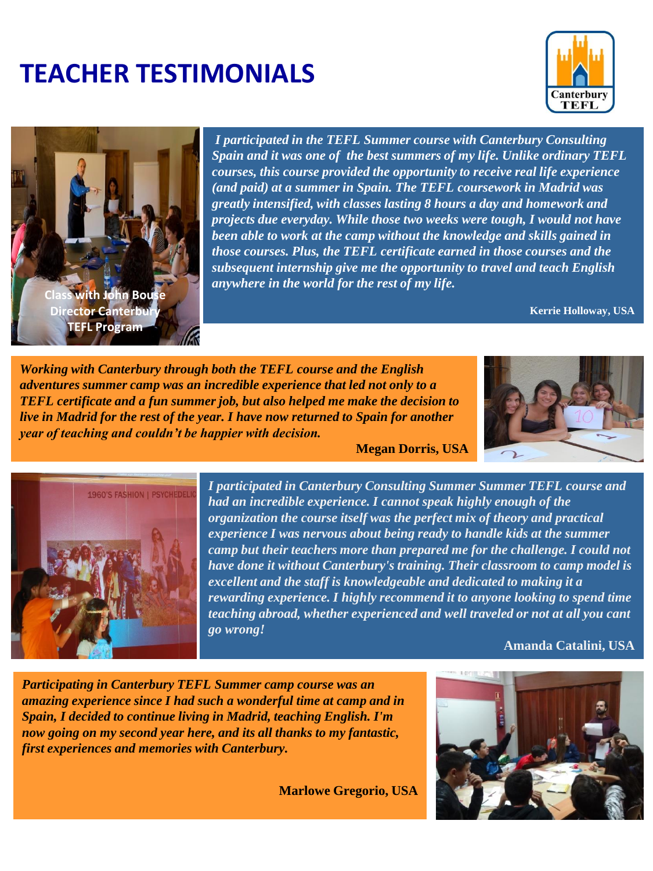# **TEACHER TESTIMONIALS**





*I participated in the TEFL Summer course with Canterbury Consulting Spain and it was one of the best summers of my life. Unlike ordinary TEFL courses, this course provided the opportunity to receive real life experience (and paid) at a summer in Spain. The TEFL coursework in Madrid was greatly intensified, with classes lasting 8 hours a day and homework and projects due everyday. While those two weeks were tough, I would not have been able to work at the camp without the knowledge and skills gained in those courses. Plus, the TEFL certificate earned in those courses and the subsequent internship give me the opportunity to travel and teach English anywhere in the world for the rest of my life.*

**Kerrie Holloway, USA**

*Working with Canterbury through both the TEFL course and the English adventures summer camp was an incredible experience that led not only to a TEFL certificate and a fun summer job, but also helped me make the decision to live in Madrid for the rest of the year. I have now returned to Spain for another year of teaching and couldn't be happier with decision.* 

**Megan Dorris, USA**





*I participated in Canterbury Consulting Summer Summer TEFL course and had an incredible experience. I cannot speak highly enough of the organization the course itself was the perfect mix of theory and practical experience I was nervous about being ready to handle kids at the summer camp but their teachers more than prepared me for the challenge. I could not have done it without Canterbury's training. Their classroom to camp model is excellent and the staff is knowledgeable and dedicated to making it a rewarding experience. I highly recommend it to anyone looking to spend time teaching abroad, whether experienced and well traveled or not at all you cant go wrong!* 

**Amanda Catalini, USA**

*Participating in Canterbury TEFL Summer camp course was an amazing experience since I had such a wonderful time at camp and in Spain, I decided to continue living in Madrid, teaching English. I'm now going on my second year here, and its all thanks to my fantastic, first experiences and memories with Canterbury.*

**Marlowe Gregorio, USA**